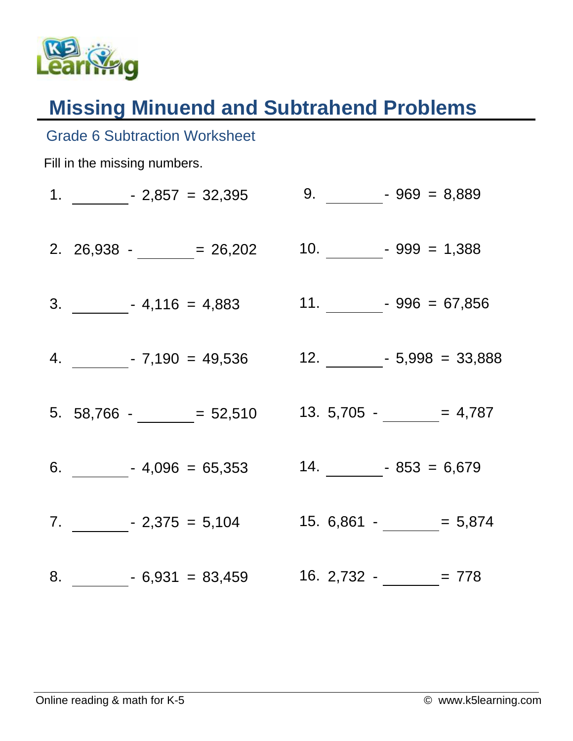

Grade 6 Subtraction Worksheet

## **Missing Minuend and Subtrahend Problems**

## Fill in the missing numbers. 1.  $-2,857 = 32,395$ 2. 26,938 -  $\frac{1}{2}$  = 26,202  $3. \hspace{20pt} 4,116 = 4,883$ 4. - 7,190 = 49,536 5.  $58,766 - 52,510$  $6.$   $- 4,096 = 65,353$  $7.$   $-$  - 2,375 = 5,104  $8. \hspace{1.5cm} 6,931 = 83,459 \hspace{1.5cm} 16. \hspace{1.5cm} 2,732 - \underline{\hspace{1.5cm}} = 778$  $9. \qquad -969 = 8,889$ 10.  $-999 = 1,388$ 11.  $-996 = 67,856$  $12.$  - 5,998 = 33,888 13.  $5,705 -$  = 4,787 14.  $-853 = 6,679$ 15.  $6,861 - 5,874$